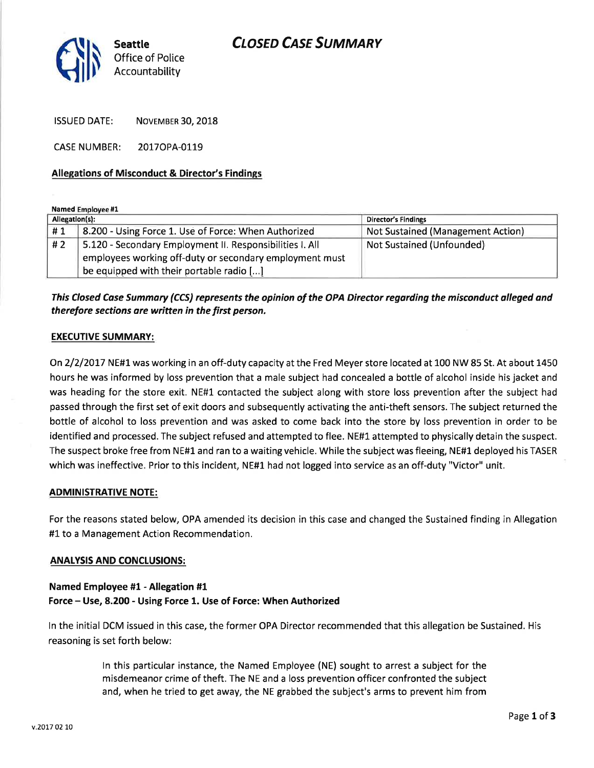## **CLOSED CASE SUMMARY**



ISSUED DATE: NOVEMBER 30, 2018

CASENUMBER: 2017OPA-0119

## Allegations of Misconduct & Director's Findings

Named Employee #1

| Allegation(s): |                                                          | Director's Findings               |
|----------------|----------------------------------------------------------|-----------------------------------|
| #1             | 8.200 - Using Force 1. Use of Force: When Authorized     | Not Sustained (Management Action) |
| #2             | 5.120 - Secondary Employment II. Responsibilities I. All | Not Sustained (Unfounded)         |
|                | employees working off-duty or secondary employment must  |                                   |
|                | be equipped with their portable radio $[]$               |                                   |

## This Closed Cose Summary (CCS) represents the opinion of the OPA Director regording the misconduct alleged and therefore sections are written in the first person.

### EXECUTIVE SUMMARY:

On2/2/2OL7 NE#1was working in an off-duty capacity at the Fred Meyer store located at 100 NW 85 St. At about 1450 hours he was informed by loss prevention that a male subject had concealed a bottle of alcohol inside his jacket and was heading for the store exit. NE#1 contacted the subject along with store loss prevention after the subject had passed through the first set of exit doors and subsequently activating the anti-theft sensors. The subject returned the bottle of alcohol to loss prevention and was asked to come back into the store by loss prevention in order to be identified and processed. The subject refused and attempted to flee. NE#1. attempted to physically detain the suspect. The suspect broke free from NE#L and ran to a waiting vehicle. While the subject was fleeing, NE#1 deployed his TASER which was ineffective. Prior to this incident, NE#1 had not logged into service as an off-duty "Victor" unit.

### **ADMINISTRATIVE NOTE:**

For the reasons stated below, OPA amended its decision in this case and changed the Sustained finding in Allegation #1 to a Management Action Recommendation.

### **ANALYSIS AND CONCLUSIONS:**

## Named Employee #1 - Allegation #1 Force - Use, 8.200 - Using Force 1. Use of Force: When Authorized

ln the initial DCM issued in this case, the former OPA Director recommended that this allegation be Sustained, His reasoning is set forth below:

> ln this particular instance, the Named Employee (NE) sought to arrest a subject for the misdemeanor crime of theft. The NE and a loss prevention officer confronted the subject and, when he tried to get away, the NE grabbed the subject's arms to prevent him from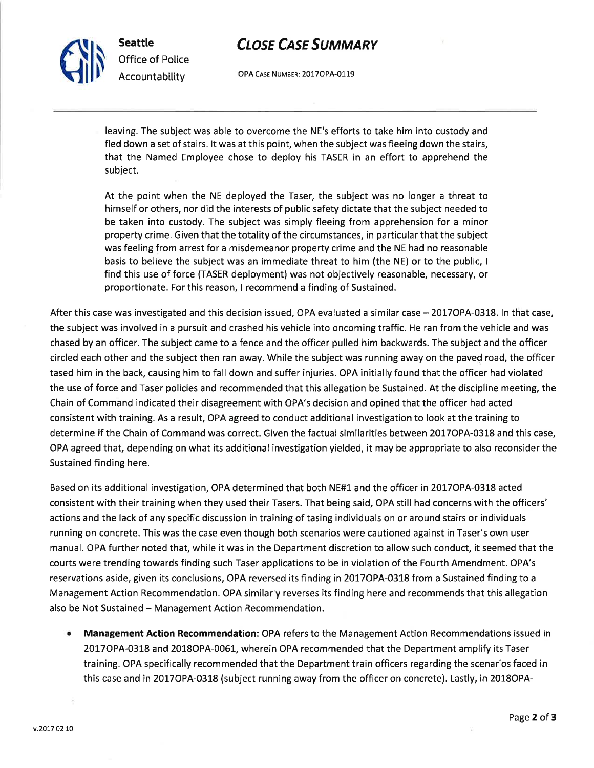# **CLOSE CASE SUMMARY**

OPA CASE NUMBER: 2017OPA-0119

leaving. The subject was able to overcome the NE's efforts to take him into custody and fled down a set of stairs. lt was at this point, when the subject was fleeing down the stairs, that the Named Employee chose to deploy his TASER in an effort to apprehend the subject.

At the point when the NE deployed the Taser, the subject was no longer a threat to himself or others, nor did the interests of public safety dictate that the subject needed to be taken into custody. The subject was simply fleeing from apprehension for a minor property crime, Given that the totality of the circumstances, in particular that the subject was feeling from arrest for a misdemeanor property crime and the NE had no reasonable basis to believe the subject was an immediate threat to him (the NE) or to the public, <sup>I</sup> find this use of force (TASER deployment) was not objectively reasonable, necessary, or proportionate. For this reason, I recommend a finding of Sustained.

After this case was investigated and this decision issued, OPA evaluated a similar case - 2017OPA-0318. ln that case, the subject was involved in a pursuit and crashed his vehicle into oncoming traffic. He ran from the vehicle and was chased by an officer. The subject came to a fence and the officer pulled him backwards. The subject and the officer circled each other and the subject then ran away. While the subject was running away on the paved road, the officer tased him in the back, causing him to fall down and suffer injuries. OPA initially found that the officer had violated the use of force and Taser policies and recommended that this allegation be Sustained. At the discipline meeting, the Chain of Command indicated their disagreement with OPA's decision and opined that the officer had acted consistent with training. As a result, OPA agreed to conduct additional investigation to look at the training to determine if the Chain of Command was correct. Given the factual similarities between 2017OPA-0318 and this case, OPA agreed that, depending on what its additional investigation yielded, it may be appropriate to also reconsider the Sustained finding here.

Based on its additional investigation, OPA determined that both NE#1 and the officer in 2017OPA-0318 acted consistent with their training when they used their Tasers. That being said, OPA still had concerns with the officers' actions and the lack of any specific discussion in training of tasing individuals on or around stairs or individuals running on concrete. This was the case even though both scenarios were cautioned against in Taser's own user manual. OPA further noted that, while it was in the Department discretion to allow such conduct, it seemed that the courts were trending towards finding such Taser applications to be in violation of the Fourth Amendment, OPA's reservations aside, given its conclusions, OPA reversed its finding in 2OITOPA-03L8 from a Sustained finding to a Management Action Recommendation. OPA similarly reverses its finding here and recommends that this allegation also be Not Sustained - Management Action Recommendation.

o Management Action Recommendation: OPA refers to the Management Action Recommendations issued in 2017OPA-0318 and 2018OPA-0051, wherein OPA recommended that the Department amplify its Taser training. OPA specifically recommended that the Department train officers regarding the scenarios faced in this case and in 2017OPA-0318 (subject running away from the officer on concrete). Lastly, in 2018OPA-



Seattle

Office of Police Accountability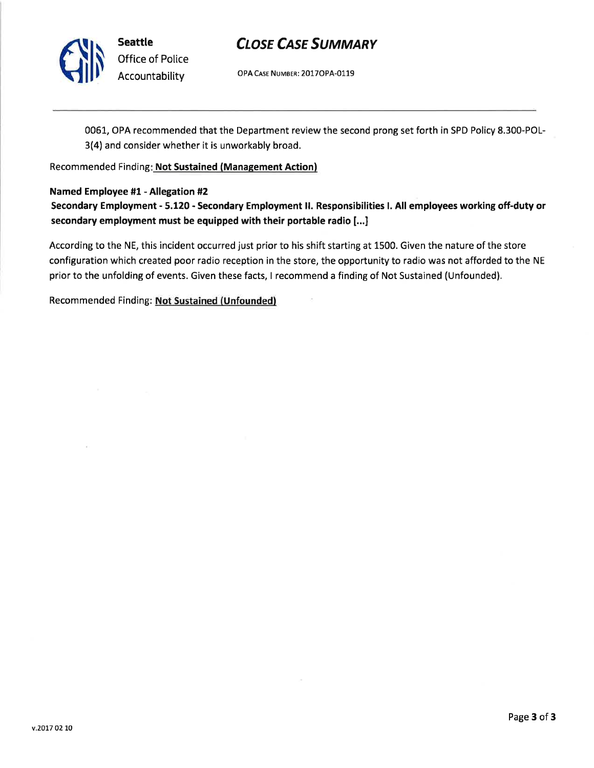

# **CLOSE CASE SUMMARY**

OPA CASE NUMBER: 2017OPA-0119

0051, OPA recommended that the Department review the second prong set forth in SPD Policy 8.300-POL-3(4) and consider whether it is unworkably broad.

Recommended Finding: Not Sustained (Management Action)

### Named Employee #1 - Allegation #2

Secondary Employment - 5.120 - Secondary Employment ll. Responsibilities l. All employees working off-duty or secondary employment must be equipped with their portable radio [...]

According to the NE, this incident occurred just prior to his shift starting at 1500. Given the nature of the store configuration which created poor radio reception in the store, the opportunity to radio was not afforded to the NE prior to the unfolding of events. Given these facts, I recommend a finding of Not Sustained (Unfounded).

Recommended Finding: Not Sustained (Unfounded)